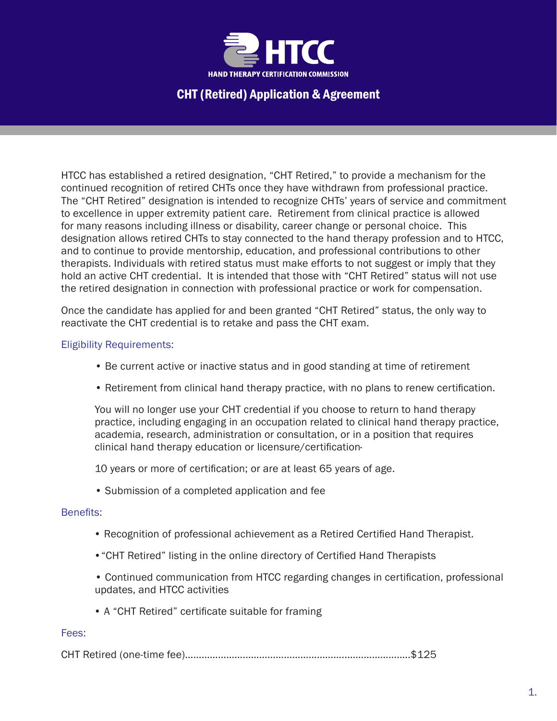

## CHT (Retired) Application & Agreement

HTCC has established a retired designation, "CHT Retired," to provide a mechanism for the continued recognition of retired CHTs once they have withdrawn from professional practice. The "CHT Retired" designation is intended to recognize CHTs' years of service and commitment to excellence in upper extremity patient care. Retirement from clinical practice is allowed for many reasons including illness or disability, career change or personal choice. This designation allows retired CHTs to stay connected to the hand therapy profession and to HTCC, and to continue to provide mentorship, education, and professional contributions to other therapists. Individuals with retired status must make efforts to not suggest or imply that they hold an active CHT credential. It is intended that those with "CHT Retired" status will not use the retired designation in connection with professional practice or work for compensation.

Once the candidate has applied for and been granted "CHT Retired" status, the only way to reactivate the CHT credential is to retake and pass the CHT exam.

### Eligibility Requirements:

- Be current active or inactive status and in good standing at time of retirement
- Retirement from clinical hand therapy practice, with no plans to renew certification.

You will no longer use your CHT credential if you choose to return to hand therapy practice, including engaging in an occupation related to clinical hand therapy practice, academia, research, administration or consultation, or in a position that requires clinical hand therapy education or licensure/certification·

10 years or more of certification; or are at least 65 years of age.

• Submission of a completed application and fee

#### Benefits:

- Recognition of professional achievement as a Retired Certified Hand Therapist.
- •"CHT Retired" listing in the online directory of Certified Hand Therapists
- Continued communication from HTCC regarding changes in certification, professional updates, and HTCC activities
- A "CHT Retired" certificate suitable for framing

#### Fees:

CHT Retired (one-time fee)…………………………………………………..…………………..\$125